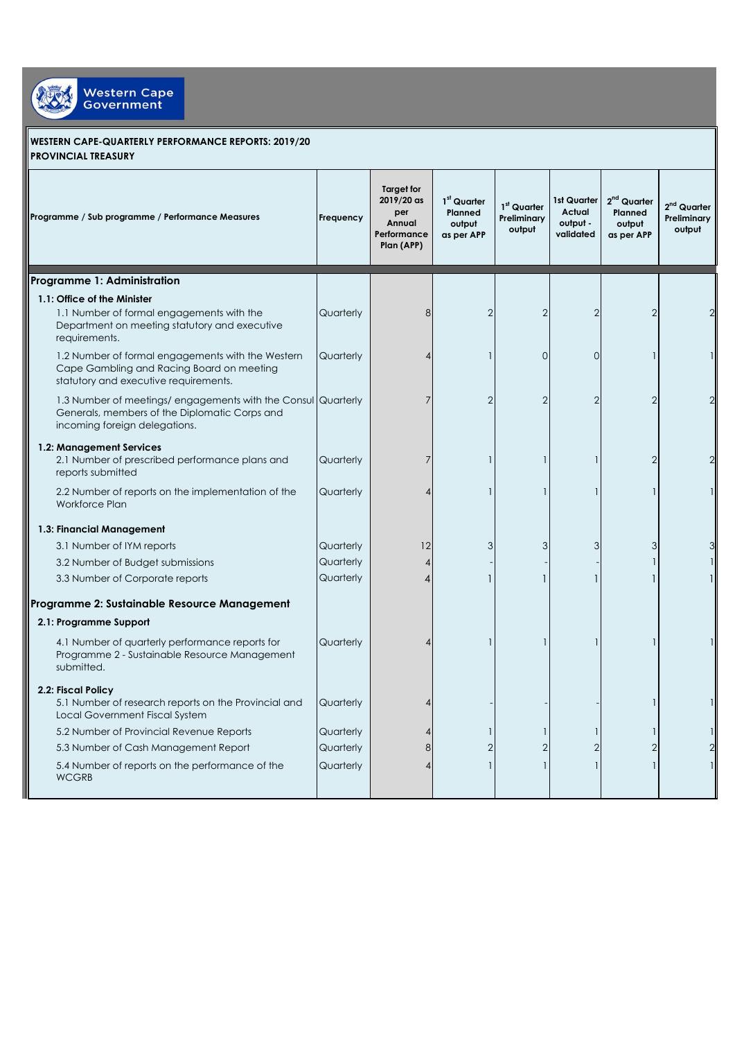

## **WESTERN CAPE-QUARTERLY PERFORMANCE REPORTS: 2019/20 PROVINCIAL TREASURY**

| Programme / Sub programme / Performance Measures                                                                                                | Frequency | <b>Target for</b><br>2019/20 as<br>per<br>Annual<br>Performance<br>Plan (APP) | $1st$ Quarter<br>Planned<br>output<br>as per APP | $1st$ Quarter<br>Preliminary<br>output | 1st Quarter<br>Actual<br>output -<br>validated | 2 <sup>nd</sup> Quarter<br>Planned<br>output<br>as per APP | $2nd$ Quarter<br>Preliminary<br>output |
|-------------------------------------------------------------------------------------------------------------------------------------------------|-----------|-------------------------------------------------------------------------------|--------------------------------------------------|----------------------------------------|------------------------------------------------|------------------------------------------------------------|----------------------------------------|
| Programme 1: Administration                                                                                                                     |           |                                                                               |                                                  |                                        |                                                |                                                            |                                        |
| 1.1: Office of the Minister                                                                                                                     |           |                                                                               |                                                  |                                        |                                                |                                                            |                                        |
| 1.1 Number of formal engagements with the<br>Department on meeting statutory and executive<br>requirements.                                     | Quarterly | 8                                                                             | $\overline{2}$                                   | $\overline{2}$                         | $\mathcal{P}$                                  | $\overline{2}$                                             |                                        |
| 1.2 Number of formal engagements with the Western<br>Cape Gambling and Racing Board on meeting<br>statutory and executive requirements.         | Quarterly |                                                                               |                                                  | $\Omega$                               | $\Omega$                                       |                                                            |                                        |
| 1.3 Number of meetings/ engagements with the Consul Quarterly<br>Generals, members of the Diplomatic Corps and<br>incoming foreign delegations. |           | 7                                                                             | $\mathfrak{D}$                                   | $\overline{2}$                         | $\mathcal{P}$                                  | $\overline{2}$                                             |                                        |
| 1.2: Management Services<br>2.1 Number of prescribed performance plans and<br>reports submitted                                                 | Quarterly | 7                                                                             |                                                  |                                        |                                                | $\overline{2}$                                             |                                        |
| 2.2 Number of reports on the implementation of the<br><b>Workforce Plan</b>                                                                     | Quarterly |                                                                               |                                                  |                                        |                                                |                                                            |                                        |
| 1.3: Financial Management                                                                                                                       |           |                                                                               |                                                  |                                        |                                                |                                                            |                                        |
| 3.1 Number of IYM reports                                                                                                                       | Quarterly | 12                                                                            | 3                                                | 3                                      | 3                                              | 3                                                          |                                        |
| 3.2 Number of Budget submissions                                                                                                                | Quarterly |                                                                               |                                                  |                                        |                                                | 1                                                          |                                        |
| 3.3 Number of Corporate reports                                                                                                                 | Quarterly |                                                                               |                                                  |                                        |                                                |                                                            |                                        |
| Programme 2: Sustainable Resource Management                                                                                                    |           |                                                                               |                                                  |                                        |                                                |                                                            |                                        |
| 2.1: Programme Support                                                                                                                          |           |                                                                               |                                                  |                                        |                                                |                                                            |                                        |
| 4.1 Number of quarterly performance reports for<br>Programme 2 - Sustainable Resource Management<br>submitted.                                  | Quarterly |                                                                               |                                                  |                                        |                                                |                                                            |                                        |
| 2.2: Fiscal Policy<br>5.1 Number of research reports on the Provincial and<br>Local Government Fiscal System                                    | Quarterly |                                                                               |                                                  |                                        |                                                |                                                            |                                        |
| 5.2 Number of Provincial Revenue Reports                                                                                                        | Quarterly |                                                                               |                                                  |                                        |                                                |                                                            |                                        |
| 5.3 Number of Cash Management Report                                                                                                            | Quarterly | 8                                                                             | $\overline{2}$                                   | $\overline{2}$                         |                                                | $\overline{2}$                                             |                                        |
| 5.4 Number of reports on the performance of the<br><b>WCGRB</b>                                                                                 | Quarterly |                                                                               |                                                  |                                        |                                                |                                                            |                                        |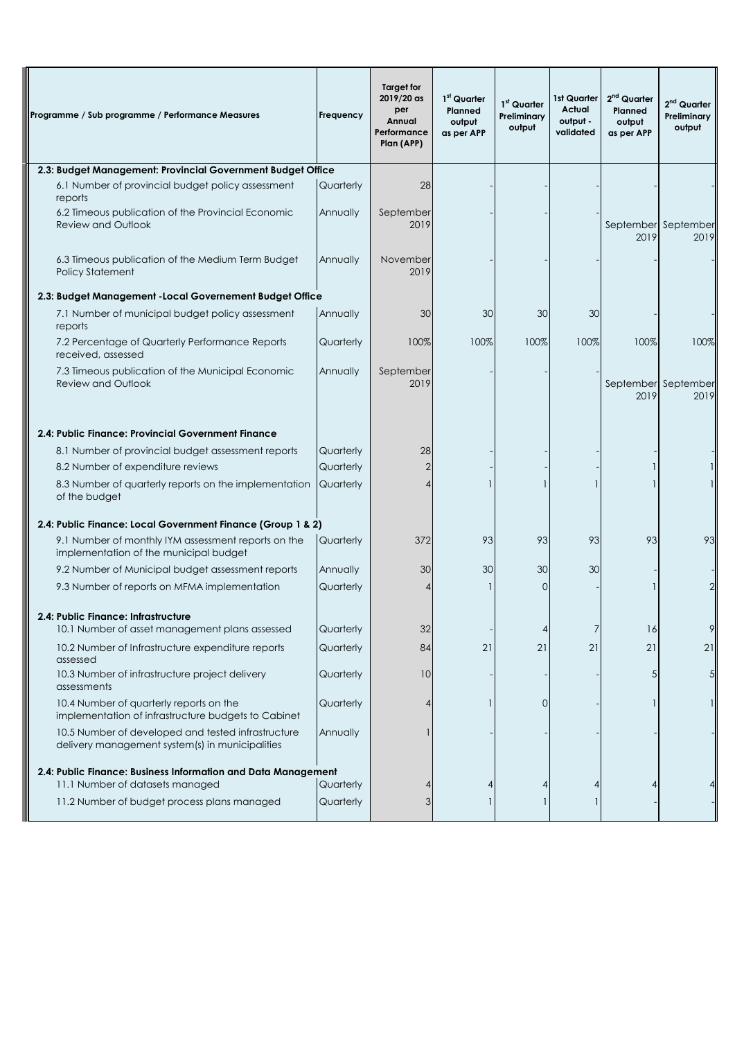| Programme / Sub programme / Performance Measures                                                      | Frequency | Target for<br>2019/20 as<br>per<br>Annual<br>Performance<br>Plan (APP) | 1 <sup>st</sup> Quarter<br><b>Planned</b><br>output<br>as per APP | 1 <sup>st</sup> Quarter<br>Preliminary<br>output | 1st Quarter<br>Actual<br>output -<br>validated | $2nd$ Quarter<br>Planned<br>output<br>as per APP | $2nd$ Quarter<br>Preliminary<br>output |
|-------------------------------------------------------------------------------------------------------|-----------|------------------------------------------------------------------------|-------------------------------------------------------------------|--------------------------------------------------|------------------------------------------------|--------------------------------------------------|----------------------------------------|
| 2.3: Budget Management: Provincial Government Budget Office                                           |           |                                                                        |                                                                   |                                                  |                                                |                                                  |                                        |
| 6.1 Number of provincial budget policy assessment<br>reports                                          | Quarterly | 28                                                                     |                                                                   |                                                  |                                                |                                                  |                                        |
| 6.2 Timeous publication of the Provincial Economic<br><b>Review and Outlook</b>                       | Annually  | September<br>2019                                                      |                                                                   |                                                  |                                                | September September<br>2019                      | 2019                                   |
| 6.3 Timeous publication of the Medium Term Budget<br><b>Policy Statement</b>                          | Annually  | November<br>2019                                                       |                                                                   |                                                  |                                                |                                                  |                                        |
| 2.3: Budget Management - Local Governement Budget Office                                              |           |                                                                        |                                                                   |                                                  |                                                |                                                  |                                        |
| 7.1 Number of municipal budget policy assessment<br>reports                                           | Annually  | 30                                                                     | 30                                                                | 30                                               | 30                                             |                                                  |                                        |
| 7.2 Percentage of Quarterly Performance Reports<br>received, assessed                                 | Quarterly | 100%                                                                   | 100%                                                              | 100%                                             | 100%                                           | 100%                                             | 100%                                   |
| 7.3 Timeous publication of the Municipal Economic<br><b>Review and Outlook</b>                        | Annually  | September<br>2019                                                      |                                                                   |                                                  |                                                | 2019                                             | September September<br>2019            |
| 2.4: Public Finance: Provincial Government Finance                                                    |           |                                                                        |                                                                   |                                                  |                                                |                                                  |                                        |
| 8.1 Number of provincial budget assessment reports                                                    | Quarterly | 28                                                                     |                                                                   |                                                  |                                                |                                                  |                                        |
| 8.2 Number of expenditure reviews                                                                     | Quarterly | 2                                                                      |                                                                   |                                                  |                                                |                                                  |                                        |
| 8.3 Number of quarterly reports on the implementation<br>of the budget                                | Quarterly |                                                                        |                                                                   |                                                  |                                                |                                                  |                                        |
| 2.4: Public Finance: Local Government Finance (Group 1 & 2)                                           |           |                                                                        |                                                                   |                                                  |                                                |                                                  |                                        |
| 9.1 Number of monthly IYM assessment reports on the<br>implementation of the municipal budget         | Quarterly | 372                                                                    | 93                                                                | 93                                               | 93                                             | 93                                               | 93                                     |
| 9.2 Number of Municipal budget assessment reports                                                     | Annually  | 30                                                                     | 30                                                                | 30                                               | 30                                             |                                                  |                                        |
| 9.3 Number of reports on MFMA implementation                                                          | Quarterly |                                                                        |                                                                   | 0                                                |                                                |                                                  |                                        |
| 2.4: Public Finance: Infrastructure<br>10.1 Number of asset management plans assessed                 | Quarterly | 32                                                                     |                                                                   |                                                  |                                                | 16                                               | 9                                      |
| 10.2 Number of Infrastructure expenditure reports<br>assessed                                         | Quarterly | 84                                                                     | 21                                                                | 21                                               | 21                                             | 21                                               | 21                                     |
| 10.3 Number of infrastructure project delivery<br>assessments                                         | Quarterly | 10                                                                     |                                                                   |                                                  |                                                |                                                  |                                        |
| 10.4 Number of quarterly reports on the<br>implementation of infrastructure budgets to Cabinet        | Quarterly |                                                                        |                                                                   | 0                                                |                                                |                                                  |                                        |
| 10.5 Number of developed and tested infrastructure<br>delivery management system(s) in municipalities | Annually  |                                                                        |                                                                   |                                                  |                                                |                                                  |                                        |
| 2.4: Public Finance: Business Information and Data Management                                         |           |                                                                        |                                                                   |                                                  |                                                |                                                  |                                        |
| 11.1 Number of datasets managed                                                                       | Quarterly |                                                                        | 4                                                                 |                                                  |                                                |                                                  |                                        |
| 11.2 Number of budget process plans managed                                                           | Quarterly | 3                                                                      |                                                                   |                                                  |                                                |                                                  |                                        |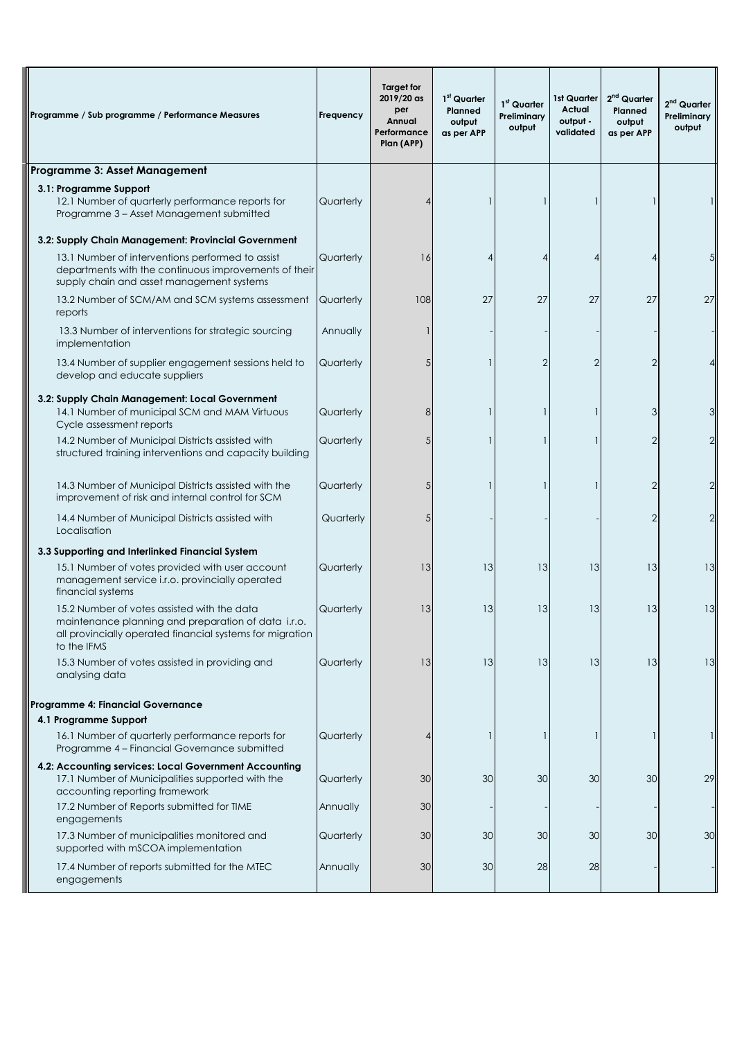| Programme / Sub programme / Performance Measures                                                                                                                               | Frequency | Target for<br>2019/20 as<br>per<br>Annual<br>Performance<br>Plan (APP) | 1 <sup>st</sup> Quarter<br>Planned<br>output<br>as per APP | 1 <sup>st</sup> Quarter<br>Preliminary<br>output | 1st Quarter<br>Actual<br>output -<br>validated | 2 <sup>nd</sup> Quarter<br>Planned<br>output<br>as per APP | 2 <sup>nd</sup> Quarter<br>Preliminary<br>output |
|--------------------------------------------------------------------------------------------------------------------------------------------------------------------------------|-----------|------------------------------------------------------------------------|------------------------------------------------------------|--------------------------------------------------|------------------------------------------------|------------------------------------------------------------|--------------------------------------------------|
| Programme 3: Asset Management                                                                                                                                                  |           |                                                                        |                                                            |                                                  |                                                |                                                            |                                                  |
| 3.1: Programme Support<br>12.1 Number of quarterly performance reports for<br>Programme 3 - Asset Management submitted                                                         | Quarterly |                                                                        |                                                            |                                                  |                                                |                                                            |                                                  |
| 3.2: Supply Chain Management: Provincial Government                                                                                                                            |           |                                                                        |                                                            |                                                  |                                                |                                                            |                                                  |
| 13.1 Number of interventions performed to assist<br>departments with the continuous improvements of their<br>supply chain and asset management systems                         | Quarterly | 16                                                                     | 4                                                          | 4                                                |                                                | 4                                                          |                                                  |
| 13.2 Number of SCM/AM and SCM systems assessment<br>reports                                                                                                                    | Quarterly | 108                                                                    | 27                                                         | 27                                               | 27                                             | 27                                                         | 27                                               |
| 13.3 Number of interventions for strategic sourcing<br>implementation                                                                                                          | Annually  |                                                                        |                                                            |                                                  |                                                |                                                            |                                                  |
| 13.4 Number of supplier engagement sessions held to<br>develop and educate suppliers                                                                                           | Quarterly | 5                                                                      |                                                            | $\overline{2}$                                   |                                                |                                                            |                                                  |
| 3.2: Supply Chain Management: Local Government<br>14.1 Number of municipal SCM and MAM Virtuous                                                                                | Quarterly | 8                                                                      |                                                            |                                                  |                                                | 3                                                          |                                                  |
| Cycle assessment reports<br>14.2 Number of Municipal Districts assisted with<br>structured training interventions and capacity building                                        | Quarterly | 5                                                                      |                                                            |                                                  |                                                |                                                            |                                                  |
| 14.3 Number of Municipal Districts assisted with the<br>improvement of risk and internal control for SCM                                                                       | Quarterly | 5                                                                      |                                                            |                                                  |                                                | $\overline{2}$                                             |                                                  |
| 14.4 Number of Municipal Districts assisted with<br>Localisation                                                                                                               | Quarterly | 5                                                                      |                                                            |                                                  |                                                |                                                            |                                                  |
| 3.3 Supporting and Interlinked Financial System                                                                                                                                |           |                                                                        |                                                            |                                                  |                                                |                                                            |                                                  |
| 15.1 Number of votes provided with user account<br>management service i.r.o. provincially operated<br>financial systems                                                        | Quarterly | 13                                                                     | 13                                                         | 13                                               | 13                                             | 13                                                         | 13                                               |
| 15.2 Number of votes assisted with the data<br>maintenance planning and preparation of data i.r.o.<br>all provincially operated financial systems for migration<br>to the IFMS | Quarterly | 13                                                                     | 13                                                         | 13                                               | 13                                             | 13                                                         | 13                                               |
| 15.3 Number of votes assisted in providing and<br>analysing data                                                                                                               | Quarterly | 13                                                                     | 13                                                         | 13                                               | 13                                             | 13                                                         | 13                                               |
| Programme 4: Financial Governance                                                                                                                                              |           |                                                                        |                                                            |                                                  |                                                |                                                            |                                                  |
| 4.1 Programme Support                                                                                                                                                          |           |                                                                        |                                                            |                                                  |                                                |                                                            |                                                  |
| 16.1 Number of quarterly performance reports for<br>Programme 4 - Financial Governance submitted                                                                               | Quarterly | 4                                                                      |                                                            |                                                  |                                                |                                                            |                                                  |
| 4.2: Accounting services: Local Government Accounting<br>17.1 Number of Municipalities supported with the<br>accounting reporting framework                                    | Quarterly | 30                                                                     | 30                                                         | 30                                               | 30                                             | 30                                                         | 29                                               |
| 17.2 Number of Reports submitted for TIME<br>engagements                                                                                                                       | Annually  | 30                                                                     |                                                            |                                                  |                                                |                                                            |                                                  |
| 17.3 Number of municipalities monitored and<br>supported with mSCOA implementation                                                                                             | Quarterly | 30                                                                     | 30                                                         | 30                                               | 30                                             | 30                                                         | 30                                               |
| 17.4 Number of reports submitted for the MTEC<br>engagements                                                                                                                   | Annually  | 30                                                                     | 30                                                         | 28                                               | 28                                             |                                                            |                                                  |